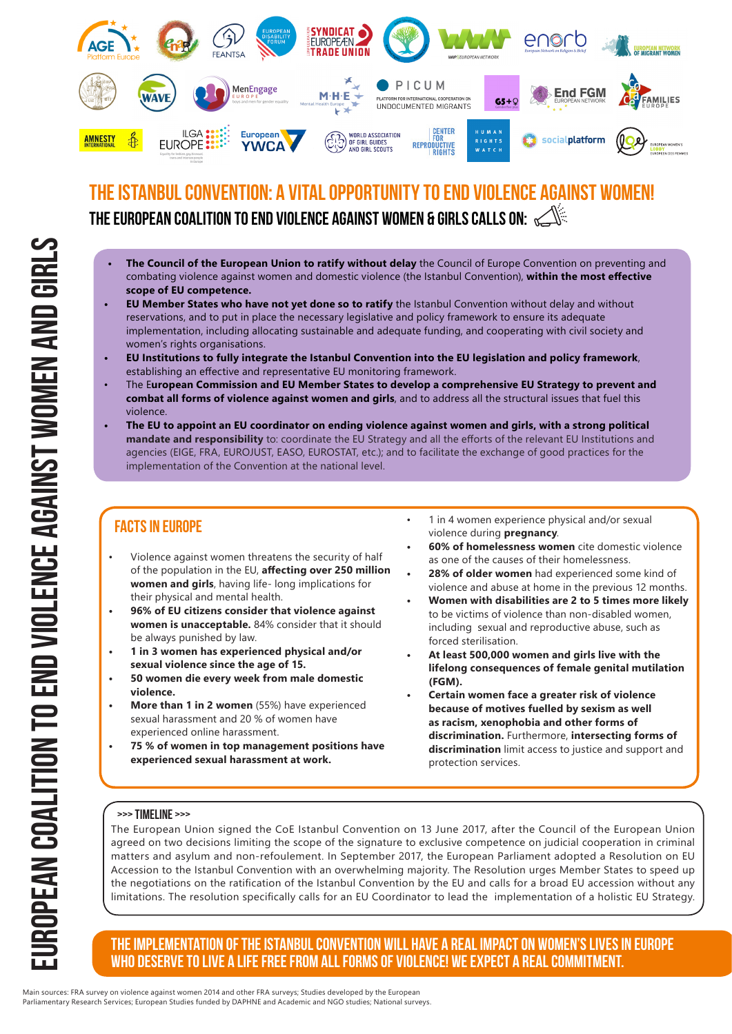

## THE ISTANBUL CONVENTION: A VITAL OPPORTUNITY TO END VIOLENCE AGAINST WO THE EUROPEAN COALITION TO END VIOLENCE AGAINST WOMEN & GIRLS CALLS ON:  $\leq$

- **• The Council of the European Union to ratify without delay** the Council of Europe Convention on preventing and combating violence against women and domestic violence (the Istanbul Convention), **within the most effective scope of EU competence.**
- **• EU Member States who have not yet done so to ratify** the Istanbul Convention without delay and without reservations, and to put in place the necessary legislative and policy framework to ensure its adequate implementation, including allocating sustainable and adequate funding, and cooperating with civil society and women's rights organisations.
- **• EU Institutions to fully integrate the Istanbul Convention into the EU legislation and policy framework**, establishing an effective and representative EU monitoring framework.
- The E**uropean Commission and EU Member States to develop a comprehensive EU Strategy to prevent and combat all forms of violence against women and girls**, and to address all the structural issues that fuel this violence.
- **• The EU to appoint an EU coordinator on ending violence against women and girls, with a strong political mandate and responsibility** to: coordinate the EU Strategy and all the efforts of the relevant EU Institutions and agencies (EIGE, FRA, EUROJUST, EASO, EUROSTAT, etc.); and to facilitate the exchange of good practices for the implementation of the Convention at the national level.

#### Facts in Europe

- Violence against women threatens the security of half of the population in the EU, **affecting over 250 million women and girls**, having life- long implications for their physical and mental health.
- **• 96% of EU citizens consider that violence against women is unacceptable.** 84% consider that it should be always punished by law.
- **• 1 in 3 women has experienced physical and/or sexual violence since the age of 15.**
- **• 50 women die every week from male domestic violence.**
- **• More than 1 in 2 women** (55%) have experienced sexual harassment and 20 % of women have experienced online harassment.
- **• 75 % of women in top management positions have experienced sexual harassment at work.**
- 1 in 4 women experience physical and/or sexual violence during **pregnancy**.
- **• 60% of homelessness women** cite domestic violence as one of the causes of their homelessness.
- **• 28% of older women** had experienced some kind of violence and abuse at home in the previous 12 months.
- **• Women with disabilities are 2 to 5 times more likely**  to be victims of violence than non-disabled women, including sexual and reproductive abuse, such as forced sterilisation.
- **• At least 500,000 women and girls live with the lifelong consequences of female genital mutilation (FGM).**
- **• Certain women face a greater risk of violence because of motives fuelled by sexism as well as racism, xenophobia and other forms of discrimination.** Furthermore, **intersecting forms of discrimination** limit access to justice and support and protection services.

#### >>> TIMELINE >>>

The European Union signed the CoE Istanbul Convention on 13 June 2017, after the Council of the European Union agreed on two decisions limiting the scope of the signature to exclusive competence on judicial cooperation in criminal matters and asylum and non-refoulement. In September 2017, the European Parliament adopted a Resolution on EU Accession to the Istanbul Convention with an overwhelming majority. The Resolution urges Member States to speed up the negotiations on the ratification of the Istanbul Convention by the EU and calls for a broad EU accession without any limitations. The resolution specifically calls for an EU Coordinator to lead the implementation of a holistic EU Strategy.

#### The implementation of the Istanbul Convention will have a real impact on women's lives in Europe who deserve to live a life free from all forms of violence! We expect A real commitment.

Main sources: FRA survey on violence against women 2014 and other FRA surveys; Studies developed by the European Parliamentary Research Services; European Studies funded by DAPHNE and Academic and NGO studies; National surveys.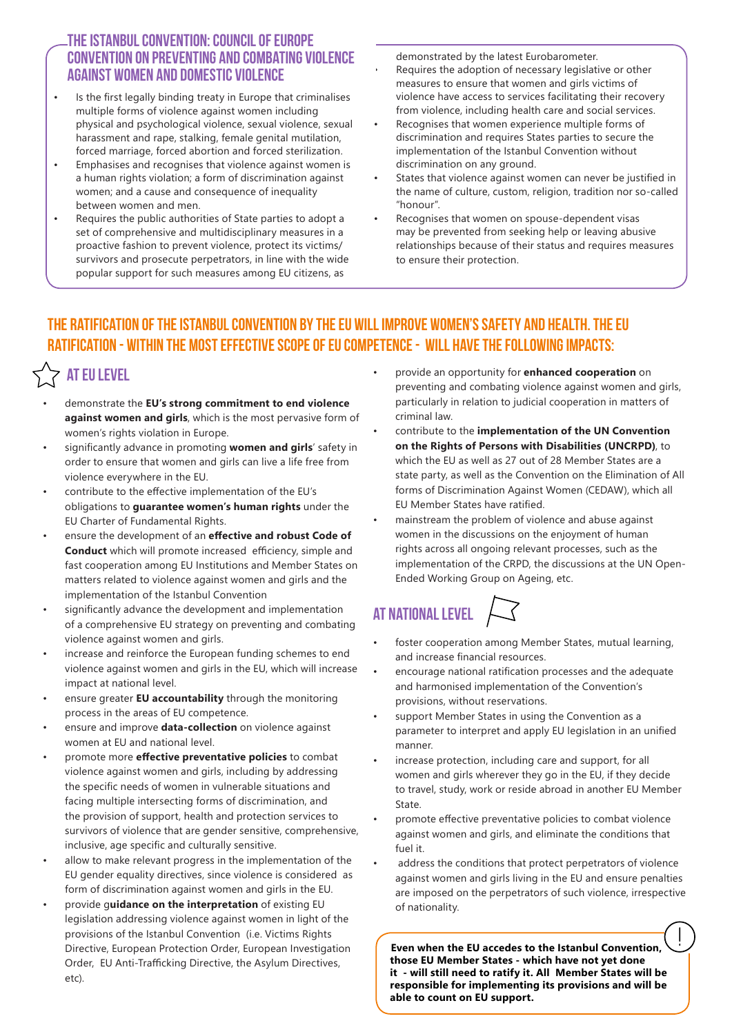#### The Istanbul Convention: Council of Europe Convention on preventing and combating violence against women and domestic violence

- Is the first legally binding treaty in Europe that criminalises multiple forms of violence against women including physical and psychological violence, sexual violence, sexual harassment and rape, stalking, female genital mutilation, forced marriage, forced abortion and forced sterilization.
- Emphasises and recognises that violence against women is a human rights violation; a form of discrimination against women; and a cause and consequence of inequality between women and men.
- Requires the public authorities of State parties to adopt a set of comprehensive and multidisciplinary measures in a proactive fashion to prevent violence, protect its victims/ survivors and prosecute perpetrators, in line with the wide popular support for such measures among EU citizens, as

demonstrated by the latest Eurobarometer.

- Requires the adoption of necessary legislative or other measures to ensure that women and girls victims of violence have access to services facilitating their recovery from violence, including health care and social services.
- Recognises that women experience multiple forms of discrimination and requires States parties to secure the implementation of the Istanbul Convention without discrimination on any ground.
- States that violence against women can never be justified in the name of culture, custom, religion, tradition nor so-called "honour".
- Recognises that women on spouse-dependent visas may be prevented from seeking help or leaving abusive relationships because of their status and requires measures to ensure their protection.

### The ratification of the Istanbul Convention by the EU will improve women's safety and health. The EU ratification - within the most effective scope of EU competence - will have the following impacts:

# $>$  AT EU LEVEL

- demonstrate the **EU's strong commitment to end violence against women and girls**, which is the most pervasive form of women's rights violation in Europe.
- significantly advance in promoting **women and girls**' safety in order to ensure that women and girls can live a life free from violence everywhere in the EU.
- contribute to the effective implementation of the EU's obligations to **guarantee women's human rights** under the EU Charter of Fundamental Rights.
- ensure the development of an **effective and robust Code of Conduct** which will promote increased efficiency, simple and fast cooperation among EU Institutions and Member States on matters related to violence against women and girls and the implementation of the Istanbul Convention
- significantly advance the development and implementation of a comprehensive EU strategy on preventing and combating violence against women and girls.
- increase and reinforce the European funding schemes to end violence against women and girls in the EU, which will increase impact at national level.
- ensure greater **EU accountability** through the monitoring process in the areas of EU competence.
- ensure and improve **data-collection** on violence against women at EU and national level.
- promote more **effective preventative policies** to combat violence against women and girls, including by addressing the specific needs of women in vulnerable situations and facing multiple intersecting forms of discrimination, and the provision of support, health and protection services to survivors of violence that are gender sensitive, comprehensive, inclusive, age specific and culturally sensitive.
- allow to make relevant progress in the implementation of the EU gender equality directives, since violence is considered as form of discrimination against women and girls in the EU.
- provide g**uidance on the interpretation** of existing EU legislation addressing violence against women in light of the provisions of the Istanbul Convention (i.e. Victims Rights Directive, European Protection Order, European Investigation Order, EU Anti-Trafficking Directive, the Asylum Directives, etc).
- provide an opportunity for **enhanced cooperation** on preventing and combating violence against women and girls, particularly in relation to judicial cooperation in matters of criminal law.
- contribute to the **implementation of the UN Convention on the Rights of Persons with Disabilities (UNCRPD)**, to which the EU as well as 27 out of 28 Member States are a state party, as well as the Convention on the Elimination of All forms of Discrimination Against Women (CEDAW), which all EU Member States have ratified.
- mainstream the problem of violence and abuse against women in the discussions on the enjoyment of human rights across all ongoing relevant processes, such as the implementation of the CRPD, the discussions at the UN Open-Ended Working Group on Ageing, etc.

# At National level

- foster cooperation among Member States, mutual learning, and increase financial resources.
- encourage national ratification processes and the adequate and harmonised implementation of the Convention's provisions, without reservations.
- support Member States in using the Convention as a parameter to interpret and apply EU legislation in an unified manner.
- increase protection, including care and support, for all women and girls wherever they go in the EU, if they decide to travel, study, work or reside abroad in another EU Member State.
- promote effective preventative policies to combat violence against women and girls, and eliminate the conditions that fuel it.
- address the conditions that protect perpetrators of violence against women and girls living in the EU and ensure penalties are imposed on the perpetrators of such violence, irrespective of nationality.

**Even when the EU accedes to the Istanbul Convention, those EU Member States - which have not yet done it - will still need to ratify it. All Member States will be responsible for implementing its provisions and will be able to count on EU support.**